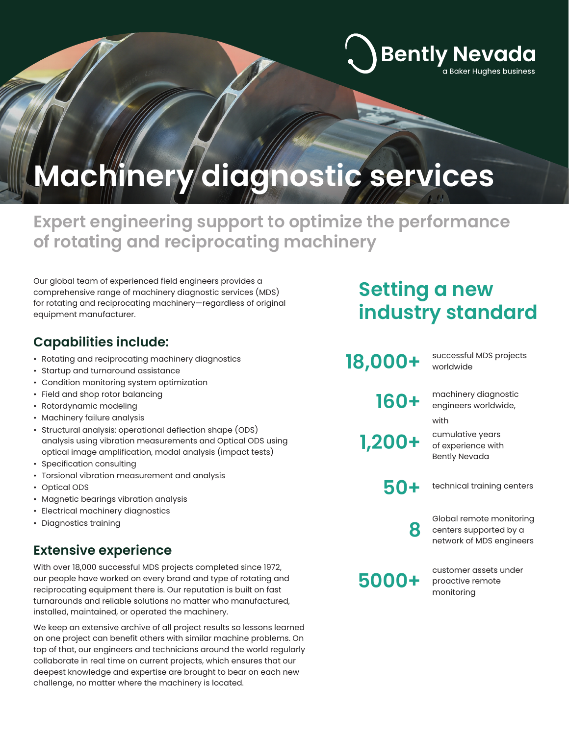# **Machinery diagnostic services**

### **Expert engineering support to optimize the performance of rotating and reciprocating machinery**

Our global team of experienced field engineers provides a comprehensive range of machinery diagnostic services (MDS) for rotating and reciprocating machinery—regardless of original equipment manufacturer.

### **Capabilities include:**

- Rotating and reciprocating machinery diagnostics
- Startup and turnaround assistance
- Condition monitoring system optimization
- Field and shop rotor balancing
- Rotordynamic modeling
- Machinery failure analysis
- Structural analysis: operational deflection shape (ODS) analysis using vibration measurements and Optical ODS using optical image amplification, modal analysis (impact tests)
- Specification consulting
- Torsional vibration measurement and analysis
- Optical ODS
- Magnetic bearings vibration analysis
- Electrical machinery diagnostics
- Diagnostics training

### **Extensive experience**

With over 18,000 successful MDS projects completed since 1972, our people have worked on every brand and type of rotating and reciprocating equipment there is. Our reputation is built on fast turnarounds and reliable solutions no matter who manufactured, installed, maintained, or operated the machinery.

We keep an extensive archive of all project results so lessons learned on one project can benefit others with similar machine problems. On top of that, our engineers and technicians around the world regularly collaborate in real time on current projects, which ensures that our deepest knowledge and expertise are brought to bear on each new challenge, no matter where the machinery is located.

## **Setting a new industry standard**

**Bently Nevada** 

a Baker Hughes business

| 18,000+ | successful MDS projects<br>worldwide                                           |
|---------|--------------------------------------------------------------------------------|
| 160+    | machinery diagnostic<br>engineers worldwide,<br>with                           |
| 1,200+  | cumulative years<br>of experience with<br><b>Bently Nevada</b>                 |
| 50+     | technical training centers                                                     |
| 8       | Global remote monitoring<br>centers supported by a<br>network of MDS engineers |
| 5000+   | customer assets under<br>proactive remote<br>monitoring                        |